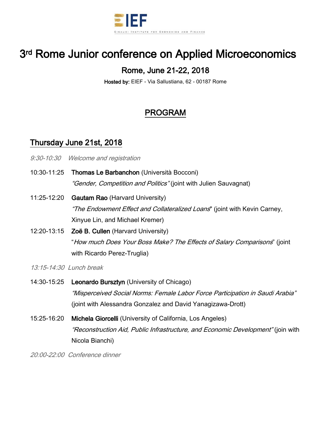

# 3<sup>rd</sup> Rome Junior conference on Applied Microeconomics

### Rome, June 21-22, 2018

Hosted by: EIEF - Via Sallustiana, 62 - 00187 Rome

## PROGRAM

#### Thursday June 21st, 2018

- 9:30-10:30 Welcome and registration
- 10:30-11:25 Thomas Le Barbanchon (Università Bocconi) "Gender, Competition and Politics" (joint with Julien Sauvagnat)
- 11:25-12:20 Gautam Rao (Harvard University) "The Endowment Effect and Collateralized Loans" (joint with Kevin Carney, Xinyue Lin, and Michael Kremer)
- 12:20-13:15 Zoë B. Cullen (Harvard University) "How much Does Your Boss Make? The Effects of Salary Comparisons" (joint with Ricardo Perez-Truglia)
- 13:15-14:30 Lunch break
- 14:30-15:25 Leonardo Bursztyn (University of Chicago) "Misperceived Social Norms: Female Labor Force Participation in Saudi Arabia" (joint with Alessandra Gonzalez and David Yanagizawa-Drott)
- 15:25-16:20 Michela Giorcelli (University of California, Los Angeles) "Reconstruction Aid, Public Infrastructure, and Economic Development" (join with Nicola Bianchi)

20:00-22:00 Conference dinner